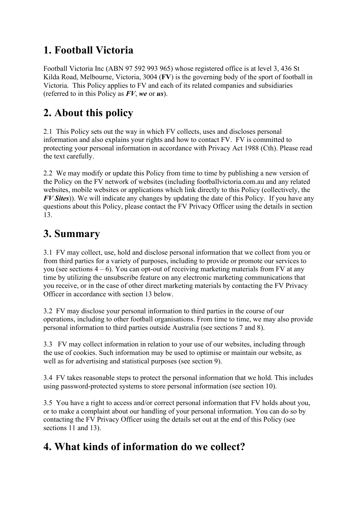## **1. Football Victoria**

Football Victoria Inc (ABN 97 592 993 965) whose registered office is at level 3, 436 St Kilda Road, Melbourne, Victoria, 3004 (**FV**) is the governing body of the sport of football in Victoria. This Policy applies to FV and each of its related companies and subsidiaries (referred to in this Policy as *FV*, *we* or *us*).

# **2. About this policy**

2.1 This Policy sets out the way in which FV collects, uses and discloses personal information and also explains your rights and how to contact FV. FV is committed to protecting your personal information in accordance with Privacy Act 1988 (Cth). Please read the text carefully.

2.2 We may modify or update this Policy from time to time by publishing a new version of the Policy on the FV network of websites (including footballvictoria.com.au and any related websites, mobile websites or applications which link directly to this Policy (collectively, the *FV Sites*)). We will indicate any changes by updating the date of this Policy. If you have any questions about this Policy, please contact the FV Privacy Officer using the details in section 13.

## **3. Summary**

3.1 FV may collect, use, hold and disclose personal information that we collect from you or from third parties for a variety of purposes, including to provide or promote our services to you (see sections  $4 - 6$ ). You can opt-out of receiving marketing materials from FV at any time by utilizing the unsubscribe feature on any electronic marketing communications that you receive, or in the case of other direct marketing materials by contacting the FV Privacy Officer in accordance with section 13 below.

3.2 FV may disclose your personal information to third parties in the course of our operations, including to other football organisations. From time to time, we may also provide personal information to third parties outside Australia (see sections 7 and 8).

3.3 FV may collect information in relation to your use of our websites, including through the use of cookies. Such information may be used to optimise or maintain our website, as well as for advertising and statistical purposes (see section 9).

3.4 FV takes reasonable steps to protect the personal information that we hold. This includes using password-protected systems to store personal information (see section 10).

3.5 You have a right to access and/or correct personal information that FV holds about you, or to make a complaint about our handling of your personal information. You can do so by contacting the FV Privacy Officer using the details set out at the end of this Policy (see sections 11 and 13).

## **4. What kinds of information do we collect?**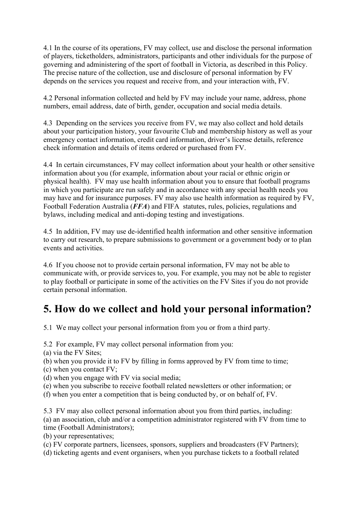4.1 In the course of its operations, FV may collect, use and disclose the personal information of players, ticketholders, administrators, participants and other individuals for the purpose of governing and administering of the sport of football in Victoria, as described in this Policy. The precise nature of the collection, use and disclosure of personal information by FV depends on the services you request and receive from, and your interaction with, FV.

4.2 Personal information collected and held by FV may include your name, address, phone numbers, email address, date of birth, gender, occupation and social media details.

4.3 Depending on the services you receive from FV, we may also collect and hold details about your participation history, your favourite Club and membership history as well as your emergency contact information, credit card information, driver's license details, reference check information and details of items ordered or purchased from FV.

4.4 In certain circumstances, FV may collect information about your health or other sensitive information about you (for example, information about your racial or ethnic origin or physical health). FV may use health information about you to ensure that football programs in which you participate are run safely and in accordance with any special health needs you may have and for insurance purposes. FV may also use health information as required by FV, Football Federation Australia (*FFA*) and FIFA statutes, rules, policies, regulations and bylaws, including medical and anti-doping testing and investigations.

4.5 In addition, FV may use de-identified health information and other sensitive information to carry out research, to prepare submissions to government or a government body or to plan events and activities.

4.6 If you choose not to provide certain personal information, FV may not be able to communicate with, or provide services to, you. For example, you may not be able to register to play football or participate in some of the activities on the FV Sites if you do not provide certain personal information.

# **5. How do we collect and hold your personal information?**

5.1 We may collect your personal information from you or from a third party.

5.2 For example, FV may collect personal information from you:

(a) via the FV Sites;

(b) when you provide it to FV by filling in forms approved by FV from time to time;

(c) when you contact FV;

(d) when you engage with FV via social media;

(e) when you subscribe to receive football related newsletters or other information; or

(f) when you enter a competition that is being conducted by, or on behalf of, FV.

5.3 FV may also collect personal information about you from third parties, including: (a) an association, club and/or a competition administrator registered with FV from time to time (Football Administrators);

(b) your representatives;

(c) FV corporate partners, licensees, sponsors, suppliers and broadcasters (FV Partners);

(d) ticketing agents and event organisers, when you purchase tickets to a football related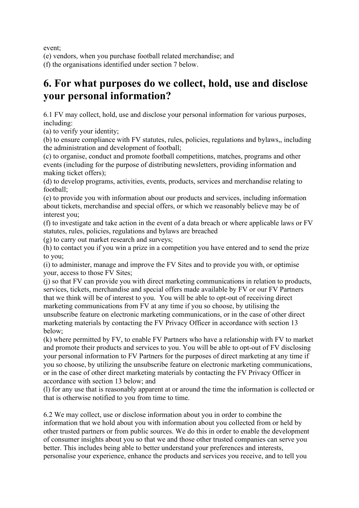event;

(e) vendors, when you purchase football related merchandise; and

(f) the organisations identified under section 7 below.

### **6. For what purposes do we collect, hold, use and disclose your personal information?**

6.1 FV may collect, hold, use and disclose your personal information for various purposes, including:

(a) to verify your identity;

(b) to ensure compliance with FV statutes, rules, policies, regulations and bylaws,, including the administration and development of football;

(c) to organise, conduct and promote football competitions, matches, programs and other events (including for the purpose of distributing newsletters, providing information and making ticket offers);

(d) to develop programs, activities, events, products, services and merchandise relating to football;

(e) to provide you with information about our products and services, including information about tickets, merchandise and special offers, or which we reasonably believe may be of interest you;

(f) to investigate and take action in the event of a data breach or where applicable laws or FV statutes, rules, policies, regulations and bylaws are breached

(g) to carry out market research and surveys;

(h) to contact you if you win a prize in a competition you have entered and to send the prize to you;

(i) to administer, manage and improve the FV Sites and to provide you with, or optimise your, access to those FV Sites;

(j) so that FV can provide you with direct marketing communications in relation to products, services, tickets, merchandise and special offers made available by FV or our FV Partners that we think will be of interest to you. You will be able to opt-out of receiving direct marketing communications from FV at any time if you so choose, by utilising the unsubscribe feature on electronic marketing communications, or in the case of other direct marketing materials by contacting the FV Privacy Officer in accordance with section 13 below;

(k) where permitted by FV, to enable FV Partners who have a relationship with FV to market and promote their products and services to you. You will be able to opt-out of FV disclosing your personal information to FV Partners for the purposes of direct marketing at any time if you so choose, by utilizing the unsubscribe feature on electronic marketing communications, or in the case of other direct marketing materials by contacting the FV Privacy Officer in accordance with section 13 below; and

(l) for any use that is reasonably apparent at or around the time the information is collected or that is otherwise notified to you from time to time.

6.2 We may collect, use or disclose information about you in order to combine the information that we hold about you with information about you collected from or held by other trusted partners or from public sources. We do this in order to enable the development of consumer insights about you so that we and those other trusted companies can serve you better. This includes being able to better understand your preferences and interests, personalise your experience, enhance the products and services you receive, and to tell you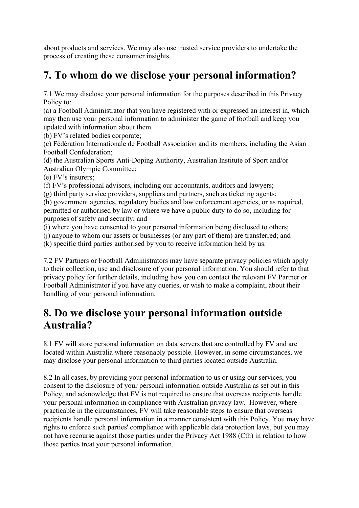about products and services. We may also use trusted service providers to undertake the process of creating these consumer insights.

## **7. To whom do we disclose your personal information?**

7.1 We may disclose your personal information for the purposes described in this Privacy Policy to:

(a) a Football Administrator that you have registered with or expressed an interest in, which may then use your personal information to administer the game of football and keep you updated with information about them.

(b) FV's related bodies corporate;

(c) Fédération Internationale de Football Association and its members, including the Asian Football Confederation;

(d) the Australian Sports Anti-Doping Authority, Australian Institute of Sport and/or Australian Olympic Committee;

(e) FV's insurers;

(f) FV's professional advisors, including our accountants, auditors and lawyers;

(g) third party service providers, suppliers and partners, such as ticketing agents;

(h) government agencies, regulatory bodies and law enforcement agencies, or as required, permitted or authorised by law or where we have a public duty to do so, including for purposes of safety and security; and

(i) where you have consented to your personal information being disclosed to others;

(j) anyone to whom our assets or businesses (or any part of them) are transferred; and

(k) specific third parties authorised by you to receive information held by us.

7.2 FV Partners or Football Administrators may have separate privacy policies which apply to their collection, use and disclosure of your personal information. You should refer to that privacy policy for further details, including how you can contact the relevant FV Partner or Football Administrator if you have any queries, or wish to make a complaint, about their handling of your personal information.

#### **8. Do we disclose your personal information outside Australia?**

8.1 FV will store personal information on data servers that are controlled by FV and are located within Australia where reasonably possible. However, in some circumstances, we may disclose your personal information to third parties located outside Australia.

8.2 In all cases, by providing your personal information to us or using our services, you consent to the disclosure of your personal information outside Australia as set out in this Policy, and acknowledge that FV is not required to ensure that overseas recipients handle your personal information in compliance with Australian privacy law. However, where practicable in the circumstances, FV will take reasonable steps to ensure that overseas recipients handle personal information in a manner consistent with this Policy. You may have rights to enforce such parties' compliance with applicable data protection laws, but you may not have recourse against those parties under the Privacy Act 1988 (Cth) in relation to how those parties treat your personal information.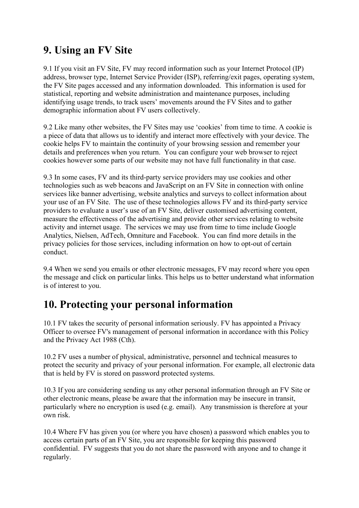## **9. Using an FV Site**

9.1 If you visit an FV Site, FV may record information such as your Internet Protocol (IP) address, browser type, Internet Service Provider (ISP), referring/exit pages, operating system, the FV Site pages accessed and any information downloaded. This information is used for statistical, reporting and website administration and maintenance purposes, including identifying usage trends, to track users' movements around the FV Sites and to gather demographic information about FV users collectively.

9.2 Like many other websites, the FV Sites may use 'cookies' from time to time. A cookie is a piece of data that allows us to identify and interact more effectively with your device. The cookie helps FV to maintain the continuity of your browsing session and remember your details and preferences when you return. You can configure your web browser to reject cookies however some parts of our website may not have full functionality in that case.

9.3 In some cases, FV and its third-party service providers may use cookies and other technologies such as web beacons and JavaScript on an FV Site in connection with online services like banner advertising, website analytics and surveys to collect information about your use of an FV Site. The use of these technologies allows FV and its third-party service providers to evaluate a user's use of an FV Site, deliver customised advertising content, measure the effectiveness of the advertising and provide other services relating to website activity and internet usage. The services we may use from time to time include Google Analytics, Nielsen, AdTech, Omniture and Facebook. You can find more details in the privacy policies for those services, including information on how to opt-out of certain conduct.

9.4 When we send you emails or other electronic messages, FV may record where you open the message and click on particular links. This helps us to better understand what information is of interest to you.

### **10. Protecting your personal information**

10.1 FV takes the security of personal information seriously. FV has appointed a Privacy Officer to oversee FV's management of personal information in accordance with this Policy and the Privacy Act 1988 (Cth).

10.2 FV uses a number of physical, administrative, personnel and technical measures to protect the security and privacy of your personal information. For example, all electronic data that is held by FV is stored on password protected systems.

10.3 If you are considering sending us any other personal information through an FV Site or other electronic means, please be aware that the information may be insecure in transit, particularly where no encryption is used (e.g. email). Any transmission is therefore at your own risk.

10.4 Where FV has given you (or where you have chosen) a password which enables you to access certain parts of an FV Site, you are responsible for keeping this password confidential. FV suggests that you do not share the password with anyone and to change it regularly.